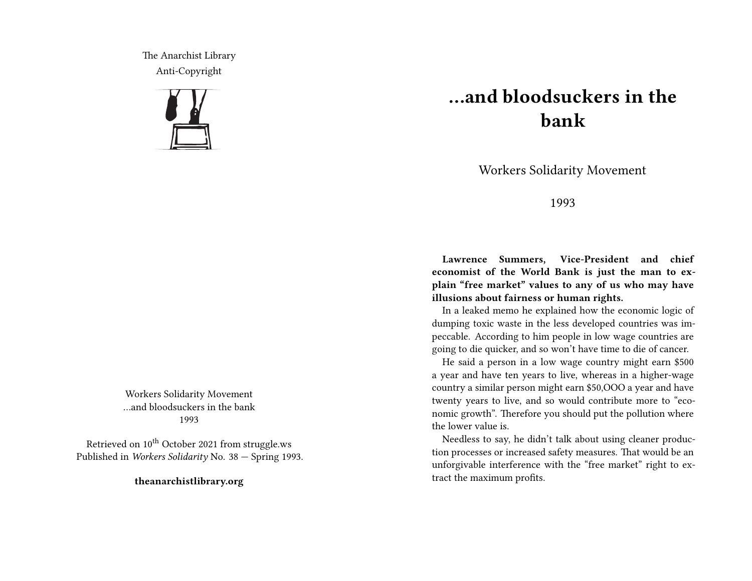The Anarchist Library Anti-Copyright



Workers Solidarity Movement …and bloodsuckers in the bank 1993

Retrieved on  $10^{th}$  October 2021 from struggle.ws Published in *Workers Solidarity* No. 38 — Spring 1993.

**theanarchistlibrary.org**

## **…and bloodsuckers in the bank**

Workers Solidarity Movement

1993

**Lawrence Summers, Vice-President and chief economist of the World Bank is just the man to explain "free market" values to any of us who may have illusions about fairness or human rights.**

In a leaked memo he explained how the economic logic of dumping toxic waste in the less developed countries was impeccable. According to him people in low wage countries are going to die quicker, and so won't have time to die of cancer.

He said a person in a low wage country might earn \$500 a year and have ten years to live, whereas in a higher-wage country a similar person might earn \$50,OOO a year and have twenty years to live, and so would contribute more to "economic growth". Therefore you should put the pollution where the lower value is.

Needless to say, he didn't talk about using cleaner production processes or increased safety measures. That would be an unforgivable interference with the "free market" right to extract the maximum profits.